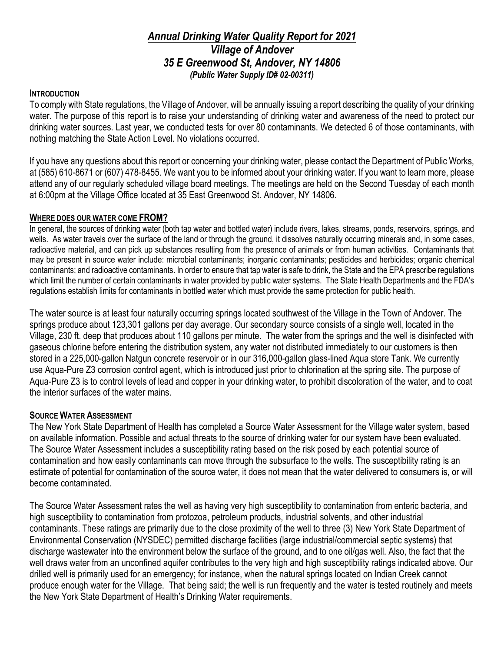# *Annual Drinking Water Quality Report for 2021 Village of Andover 35 E Greenwood St, Andover, NY 14806 (Public Water Supply ID# 02-00311)*

### **INTRODUCTION**

To comply with State regulations, the Village of Andover, will be annually issuing a report describing the quality of your drinking water. The purpose of this report is to raise your understanding of drinking water and awareness of the need to protect our drinking water sources. Last year, we conducted tests for over 80 contaminants. We detected 6 of those contaminants, with nothing matching the State Action Level. No violations occurred.

If you have any questions about this report or concerning your drinking water, please contact the Department of Public Works, at (585) 610-8671 or (607) 478-8455. We want you to be informed about your drinking water. If you want to learn more, please attend any of our regularly scheduled village board meetings. The meetings are held on the Second Tuesday of each month at 6:00pm at the Village Office located at 35 East Greenwood St. Andover, NY 14806.

#### **WHERE DOES OUR WATER COME FROM?**

In general, the sources of drinking water (both tap water and bottled water) include rivers, lakes, streams, ponds, reservoirs, springs, and wells. As water travels over the surface of the land or through the ground, it dissolves naturally occurring minerals and, in some cases, radioactive material, and can pick up substances resulting from the presence of animals or from human activities. Contaminants that may be present in source water include: microbial contaminants; inorganic contaminants; pesticides and herbicides; organic chemical contaminants; and radioactive contaminants. In order to ensure that tap water is safe to drink, the State and the EPA prescribe regulations which limit the number of certain contaminants in water provided by public water systems. The State Health Departments and the FDA's regulations establish limits for contaminants in bottled water which must provide the same protection for public health.

The water source is at least four naturally occurring springs located southwest of the Village in the Town of Andover. The springs produce about 123,301 gallons per day average. Our secondary source consists of a single well, located in the Village, 230 ft. deep that produces about 110 gallons per minute. The water from the springs and the well is disinfected with gaseous chlorine before entering the distribution system, any water not distributed immediately to our customers is then stored in a 225,000-gallon Natgun concrete reservoir or in our 316,000-gallon glass-lined Aqua store Tank. We currently use Aqua-Pure Z3 corrosion control agent, which is introduced just prior to chlorination at the spring site. The purpose of Aqua-Pure Z3 is to control levels of lead and copper in your drinking water, to prohibit discoloration of the water, and to coat the interior surfaces of the water mains.

### **SOURCE WATER ASSESSMENT**

The New York State Department of Health has completed a Source Water Assessment for the Village water system, based on available information. Possible and actual threats to the source of drinking water for our system have been evaluated. The Source Water Assessment includes a susceptibility rating based on the risk posed by each potential source of contamination and how easily contaminants can move through the subsurface to the wells. The susceptibility rating is an estimate of potential for contamination of the source water, it does not mean that the water delivered to consumers is, or will become contaminated.

The Source Water Assessment rates the well as having very high susceptibility to contamination from enteric bacteria, and high susceptibility to contamination from protozoa, petroleum products, industrial solvents, and other industrial contaminants. These ratings are primarily due to the close proximity of the well to three (3) New York State Department of Environmental Conservation (NYSDEC) permitted discharge facilities (large industrial/commercial septic systems) that discharge wastewater into the environment below the surface of the ground, and to one oil/gas well. Also, the fact that the well draws water from an unconfined aquifer contributes to the very high and high susceptibility ratings indicated above. Our drilled well is primarily used for an emergency; for instance, when the natural springs located on Indian Creek cannot produce enough water for the Village. That being said; the well is run frequently and the water is tested routinely and meets the New York State Department of Health's Drinking Water requirements.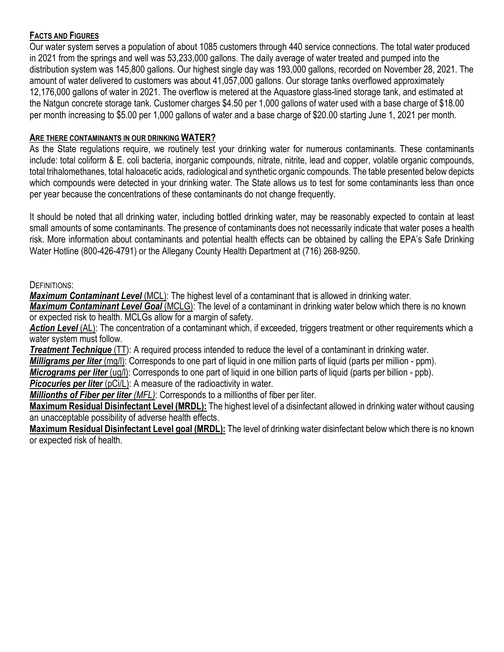## **FACTS AND FIGURES**

Our water system serves a population of about 1085 customers through 440 service connections. The total water produced in 2021 from the springs and well was 53,233,000 gallons. The daily average of water treated and pumped into the distribution system was 145,800 gallons. Our highest single day was 193,000 gallons, recorded on November 28, 2021. The amount of water delivered to customers was about 41,057,000 gallons. Our storage tanks overflowed approximately 12,176,000 gallons of water in 2021. The overflow is metered at the Aquastore glass-lined storage tank, and estimated at the Natgun concrete storage tank. Customer charges \$4.50 per 1,000 gallons of water used with a base charge of \$18.00 per month increasing to \$5.00 per 1,000 gallons of water and a base charge of \$20.00 starting June 1, 2021 per month.

### **ARE THERE CONTAMINANTS IN OUR DRINKING WATER?**

As the State regulations require, we routinely test your drinking water for numerous contaminants. These contaminants include: total coliform & E. coli bacteria, inorganic compounds, nitrate, nitrite, lead and copper, volatile organic compounds, total trihalomethanes, total haloacetic acids, radiological and synthetic organic compounds. The table presented below depicts which compounds were detected in your drinking water. The State allows us to test for some contaminants less than once per year because the concentrations of these contaminants do not change frequently.

It should be noted that all drinking water, including bottled drinking water, may be reasonably expected to contain at least small amounts of some contaminants. The presence of contaminants does not necessarily indicate that water poses a health risk. More information about contaminants and potential health effects can be obtained by calling the EPA's Safe Drinking Water Hotline (800-426-4791) or the Allegany County Health Department at (716) 268-9250.

### DEFINITIONS:

*Maximum Contaminant Level* (MCL): The highest level of a contaminant that is allowed in drinking water.

*Maximum Contaminant Level Goal* (MCLG): The level of a contaminant in drinking water below which there is no known or expected risk to health. MCLGs allow for a margin of safety.

*Action Level* (AL): The concentration of a contaminant which, if exceeded, triggers treatment or other requirements which a water system must follow.

*Treatment Technique* (TT): A required process intended to reduce the level of a contaminant in drinking water.

*Milligrams per liter* (mg/l): Corresponds to one part of liquid in one million parts of liquid (parts per million - ppm).

*Micrograms per liter* (ug/l): Corresponds to one part of liquid in one billion parts of liquid (parts per billion - ppb).

**Picocuries per liter** (pCi/L): A measure of the radioactivity in water.

*Millionths of Fiber per liter (MFL)*: Corresponds to a millionths of fiber per liter.

**Maximum Residual Disinfectant Level (MRDL):** The highest level of a disinfectant allowed in drinking water without causing an unacceptable possibility of adverse health effects.

**Maximum Residual Disinfectant Level goal (MRDL):** The level of drinking water disinfectant below which there is no known or expected risk of health.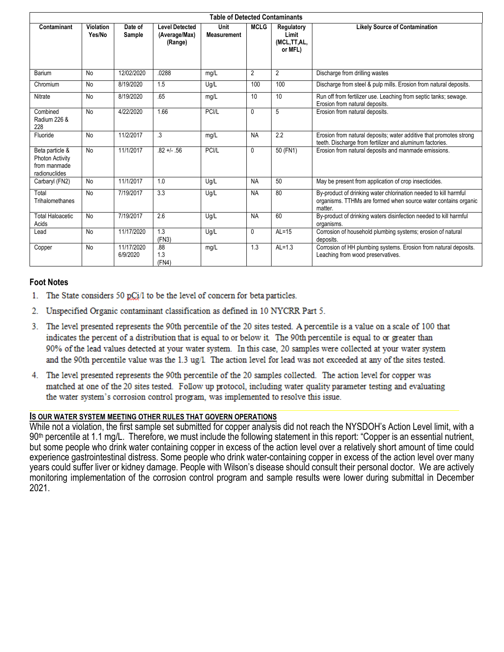| <b>Table of Detected Contaminants</b>                                      |                            |                        |                                                   |                                   |                |                                               |                                                                                                                                               |
|----------------------------------------------------------------------------|----------------------------|------------------------|---------------------------------------------------|-----------------------------------|----------------|-----------------------------------------------|-----------------------------------------------------------------------------------------------------------------------------------------------|
| Contaminant                                                                | <b>Violation</b><br>Yes/No | Date of<br>Sample      | <b>Level Detected</b><br>(Average/Max)<br>(Range) | <b>Unit</b><br><b>Measurement</b> | <b>MCLG</b>    | Regulatory<br>Limit<br>(MCL,TT,AL,<br>or MFL) | <b>Likely Source of Contamination</b>                                                                                                         |
| Barium                                                                     | <b>No</b>                  | 12/02/2020             | .0288                                             | mg/L                              | $\overline{2}$ | $\overline{2}$                                | Discharge from drilling wastes                                                                                                                |
| Chromium                                                                   | No                         | 8/19/2020              | 1.5                                               | Ug/L                              | 100            | 100                                           | Discharge from steel & pulp mills. Erosion from natural deposits.                                                                             |
| Nitrate                                                                    | No                         | 8/19/2020              | .65                                               | mg/L                              | 10             | 10                                            | Run off from fertilizer use. Leaching from septic tanks; sewage.<br>Erosion from natural deposits.                                            |
| Combined<br>Radium 226 &<br>228                                            | <b>No</b>                  | 4/22/2020              | 1.66                                              | PCI/L                             | $\mathbf{0}$   | 5                                             | Erosion from natural deposits.                                                                                                                |
| Fluoride                                                                   | No                         | 11/2/2017              | .3                                                | mq/L                              | <b>NA</b>      | 2.2                                           | Erosion from natural deposits; water additive that promotes strong<br>teeth. Discharge from fertilizer and aluminum factories.                |
| Beta particle &<br><b>Photon Activity</b><br>from manmade<br>radionuclides | <b>No</b>                  | 11/1/2017              | $.82 +/- .56$                                     | PCI/L                             | $\mathbf{0}$   | 50 (FN1)                                      | Erosion from natural deposits and manmade emissions.                                                                                          |
| Carbaryl (FN2)                                                             | No                         | 11/1/2017              | 1.0                                               | Ug/L                              | <b>NA</b>      | 50                                            | May be present from application of crop insecticides.                                                                                         |
| Total<br>Trihalomethanes                                                   | <b>No</b>                  | 7/19/2017              | 3.3                                               | Ug/L                              | <b>NA</b>      | 80                                            | By-product of drinking water chlorination needed to kill harmful<br>organisms. TTHMs are formed when source water contains organic<br>matter. |
| <b>Total Haloacetic</b><br>Acids                                           | <b>No</b>                  | 7/19/2017              | 2.6                                               | Ug/L                              | <b>NA</b>      | 60                                            | By-product of drinking waters disinfection needed to kill harmful<br>organisms.                                                               |
| Lead                                                                       | No                         | 11/17/2020             | $\overline{1.3}$<br>(FN3)                         | Ug/L                              | $\Omega$       | $AL=15$                                       | Corrosion of household plumbing systems; erosion of natural<br>deposits.                                                                      |
| Copper                                                                     | No                         | 11/17/2020<br>6/9/2020 | .88<br>1.3<br>(FN4)                               | mg/L                              | 1.3            | $AL=1.3$                                      | Corrosion of HH plumbing systems. Erosion from natural deposits.<br>Leaching from wood preservatives.                                         |

#### **Foot Notes**

- 1. The State considers 50 pCi/l to be the level of concern for beta particles.
- 2. Unspecified Organic contaminant classification as defined in 10 NYCRR Part 5.
- 3. The level presented represents the 90th percentile of the 20 sites tested. A percentile is a value on a scale of 100 that indicates the percent of a distribution that is equal to or below it. The 90th percentile is equal to or greater than 90% of the lead values detected at your water system. In this case, 20 samples were collected at your water system and the 90th percentile value was the 1.3 ug/l. The action level for lead was not exceeded at any of the sites tested.
- 4. The level presented represents the 90th percentile of the 20 samples collected. The action level for copper was matched at one of the 20 sites tested. Follow up protocol, including water quality parameter testing and evaluating the water system's corrosion control program, was implemented to resolve this issue.

#### **IS OUR WATER SYSTEM MEETING OTHER RULES THAT GOVERN OPERATIONS**

While not a violation, the first sample set submitted for copper analysis did not reach the NYSDOH's Action Level limit, with a  $90<sup>th</sup>$  percentile at 1.1 mg/L. Therefore, we must include the following statement in this report: "Copper is an essential nutrient, but some people who drink water containing copper in excess of the action level over a relatively short amount of time could experience gastrointestinal distress. Some people who drink water-containing copper in excess of the action level over many years could suffer liver or kidney damage. People with Wilson's disease should consult their personal doctor. We are actively monitoring implementation of the corrosion control program and sample results were lower during submittal in December 2021.